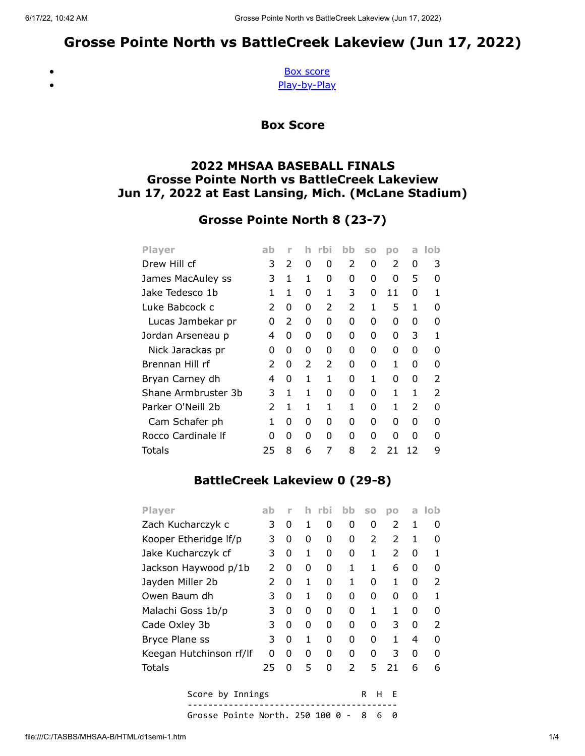# Grosse Pointe North vs BattleCreek Lakeview (Jun 17, 2022)

<span id="page-0-0"></span> $\bullet$  $\bullet$ 

[Box score](#page-0-0) [Play-by-Play](#page-1-0)

Box Score

### 2022 MHSAA BASEBALL FINALS Grosse Pointe North vs BattleCreek Lakeview Jun 17, 2022 at East Lansing, Mich. (McLane Stadium)

## Grosse Pointe North 8 (23-7)

| <b>Player</b>       | ab            | ۲ |               | rbi           | bb            | <b>SO</b> | DO            | a             | lob           |
|---------------------|---------------|---|---------------|---------------|---------------|-----------|---------------|---------------|---------------|
| Drew Hill cf        | 3             | 2 | 0             | 0             | $\mathcal{P}$ | 0         | $\mathcal{P}$ | 0             | 3             |
| James MacAuley ss   | 3             | 1 | 1             | 0             | O             | ი         | 0             | 5             | O             |
| Jake Tedesco 1b     | 1             | 1 | 0             | 1             | 3             | 0         | 11            | 0             | 1             |
| Luke Babcock c      | $\mathcal{P}$ | 0 | O             | $\mathcal{P}$ | $\mathcal{P}$ | 1         | 5             | 1             | ŋ             |
| Lucas Jambekar pr   | 0             | 2 | 0             | 0             | 0             | 0         | 0             | 0             | O             |
| Jordan Arseneau p   | 4             | 0 | O             | O             | O             | ი         | O             | 3             | 1             |
| Nick Jarackas pr    | 0             | 0 | 0             | 0             | 0             | 0         | 0             | 0             | O             |
| Brennan Hill rf     | $\mathcal{P}$ | 0 | $\mathcal{P}$ | $\mathcal{P}$ | O             | ი         | 1             | 0             | ŋ             |
| Bryan Carney dh     | 4             | 0 | 1             | 1             | 0             | 1         | 0             | 0             | $\mathcal{P}$ |
| Shane Armbruster 3b | 3             | 1 | 1             | O             | O             | ი         | 1             | 1             | $\mathcal{P}$ |
| Parker O'Neill 2b   | $\mathcal{P}$ | 1 | 1             | 1             | 1             | ი         | 1             | $\mathcal{P}$ | O             |
| Cam Schafer ph      | 1             | O | U             | O             | O             | ი         | O             | O             | ŋ             |
| Rocco Cardinale If  | n             | 0 | 0             | 0             | O             | ი         | O             | O             | n             |
| Totals              | 25            | 8 | 6             | 7             | 8             | 2         | 21            | 12            | 9             |

### BattleCreek Lakeview 0 (29-8)

| <b>Player</b>           | ab            | ۲           |   | rbi | bb            | <b>SO</b>                | DO            | a | lob           |
|-------------------------|---------------|-------------|---|-----|---------------|--------------------------|---------------|---|---------------|
| Zach Kucharczyk c       | 3             | 0           | 1 | 0   | 0             | 0                        | 2             | 1 | O             |
| Kooper Etheridge If/p   | 3             | 0           | 0 | 0   | 0             | $\overline{\phantom{a}}$ | 2             | 1 | O             |
| Jake Kucharczyk cf      | 3             | 0           | 1 | 0   | 0             | 1                        | $\mathcal{P}$ | 0 |               |
| Jackson Haywood p/1b    | $\mathcal{P}$ | 0           | 0 | 0   | 1             | 1                        | 6             | 0 | O             |
| Jayden Miller 2b        | $\mathcal{P}$ | 0           | 1 | 0   | 1             | 0                        | 1             | 0 | 2             |
| Owen Baum dh            | 3             | 0           | 1 | 0   | 0             | O                        | 0             | 0 |               |
| Malachi Goss 1b/p       | 3             | 0           | O | 0   | 0             | 1                        | 1             | O | ი             |
| Cade Oxley 3b           | 3             | 0           | 0 | 0   | 0             | O                        | 3             | 0 | $\mathcal{P}$ |
| <b>Bryce Plane ss</b>   | 3             | 0           | 1 | 0   | 0             | O                        | 1             | 4 | ŋ             |
| Keegan Hutchinson rf/lf | 0             | 0           | 0 | 0   | 0             | O                        | 3             | 0 | O             |
| Totals                  | 25            | O           | 5 | O   | $\mathcal{P}$ | 5                        | 21            | 6 | 6             |
| Score by Innings        |               | R<br>н<br>F |   |     |               |                          |               |   |               |

----------------------------------------- Grosse Pointe North. 250 100 0 - 8 6 0

file:///C:/TASBS/MHSAA-B/HTML/d1semi-1.htm 1/4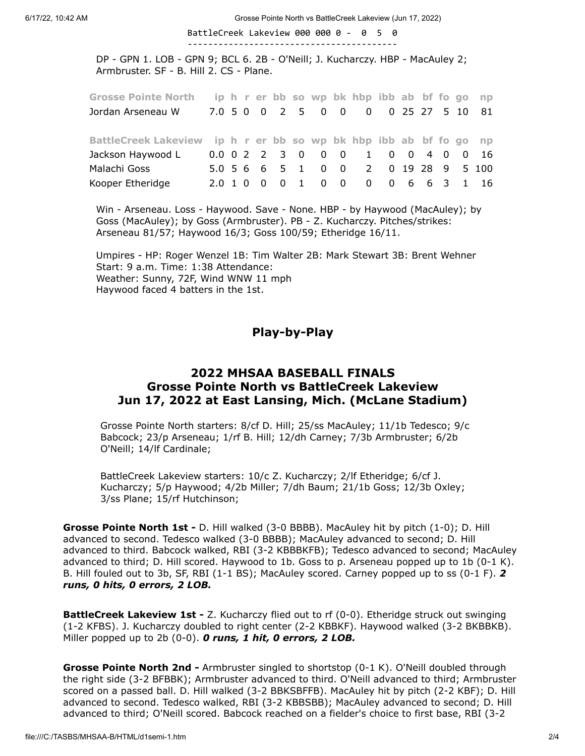6/17/22, 10:42 AM Grosse Pointe North vs BattleCreek Lakeview (Jun 17, 2022)

BattleCreek Lakeview 000 000 0 - 0 5 0

DP - GPN 1. LOB - GPN 9; BCL 6. 2B - O'Neill; J. Kucharczy. HBP - MacAuley 2; Armbruster. SF - B. Hill 2. CS - Plane.

-----------------------------------------

| <b>Grosse Pointe North</b>                                        |  |  |  |                   | ip h r er bb so wp bk hbp ibb ab bf fo go |  |  | n <sub>D</sub>    |
|-------------------------------------------------------------------|--|--|--|-------------------|-------------------------------------------|--|--|-------------------|
| Jordan Arseneau W                                                 |  |  |  |                   | 7.0 5 0 0 2 5 0 0 0 0 25 27 5 10 81       |  |  |                   |
| BattleCreek Lakeview ip h r er bb so wp bk hbp ibb ab bf fo go np |  |  |  |                   |                                           |  |  |                   |
| Jackson Haywood L                                                 |  |  |  |                   | 0.0 0 2 2 3 0 0 0 1 0 0 4 0 0             |  |  | - 16              |
| Malachi Goss                                                      |  |  |  | 5.0 5 6 6 5 1 0 0 |                                           |  |  | 2 0 19 28 9 5 100 |
| Kooper Etheridge                                                  |  |  |  |                   | 2.0 1 0 0 0 1 0 0 0 0 0 6 6 3 1 16        |  |  |                   |

Win - Arseneau. Loss - Haywood. Save - None. HBP - by Haywood (MacAuley); by Goss (MacAuley); by Goss (Armbruster). PB - Z. Kucharczy. Pitches/strikes: Arseneau 81/57; Haywood 16/3; Goss 100/59; Etheridge 16/11.

<span id="page-1-0"></span>Umpires - HP: Roger Wenzel 1B: Tim Walter 2B: Mark Stewart 3B: Brent Wehner Start: 9 a.m. Time: 1:38 Attendance: Weather: Sunny, 72F, Wind WNW 11 mph Haywood faced 4 batters in the 1st.

#### Play-by-Play

#### 2022 MHSAA BASEBALL FINALS Grosse Pointe North vs BattleCreek Lakeview Jun 17, 2022 at East Lansing, Mich. (McLane Stadium)

Grosse Pointe North starters: 8/cf D. Hill; 25/ss MacAuley; 11/1b Tedesco; 9/c Babcock; 23/p Arseneau; 1/rf B. Hill; 12/dh Carney; 7/3b Armbruster; 6/2b O'Neill; 14/lf Cardinale;

BattleCreek Lakeview starters: 10/c Z. Kucharczy; 2/lf Etheridge; 6/cf J. Kucharczy; 5/p Haywood; 4/2b Miller; 7/dh Baum; 21/1b Goss; 12/3b Oxley; 3/ss Plane; 15/rf Hutchinson;

Grosse Pointe North 1st - D. Hill walked (3-0 BBBB). MacAuley hit by pitch (1-0); D. Hill advanced to second. Tedesco walked (3-0 BBBB); MacAuley advanced to second; D. Hill advanced to third. Babcock walked, RBI (3-2 KBBBKFB); Tedesco advanced to second; MacAuley advanced to third; D. Hill scored. Haywood to 1b. Goss to p. Arseneau popped up to 1b (0-1 K). B. Hill fouled out to 3b, SF, RBI (1-1 BS); MacAuley scored. Carney popped up to ss (0-1 F). 2 runs, 0 hits, 0 errors, 2 LOB.

**BattleCreek Lakeview 1st -** Z. Kucharczy flied out to rf (0-0). Etheridge struck out swinging (1-2 KFBS). J. Kucharczy doubled to right center (2-2 KBBKF). Haywood walked (3-2 BKBBKB). Miller popped up to 2b  $(0-0)$ . O runs, 1 hit, O errors, 2 LOB.

Grosse Pointe North 2nd - Armbruster singled to shortstop (0-1 K). O'Neill doubled through the right side (3-2 BFBBK); Armbruster advanced to third. O'Neill advanced to third; Armbruster scored on a passed ball. D. Hill walked (3-2 BBKSBFFB). MacAuley hit by pitch (2-2 KBF); D. Hill advanced to second. Tedesco walked, RBI (3-2 KBBSBB); MacAuley advanced to second; D. Hill advanced to third; O'Neill scored. Babcock reached on a fielder's choice to first base, RBI (3-2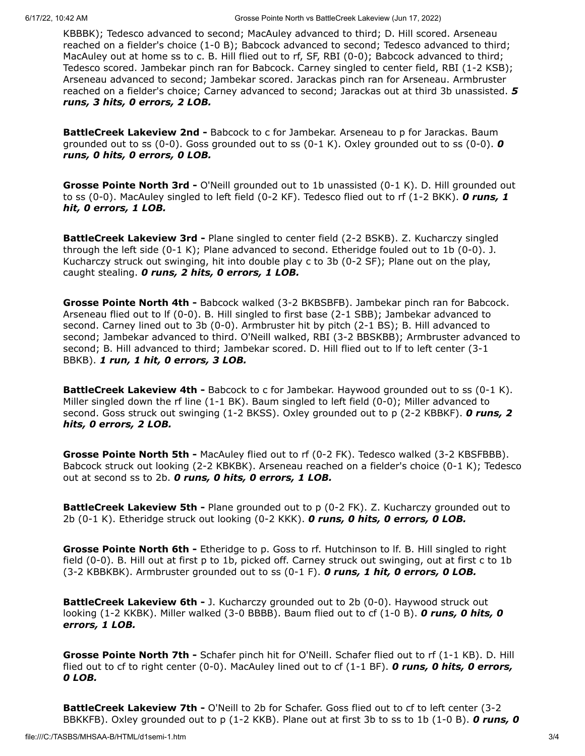KBBBK); Tedesco advanced to second; MacAuley advanced to third; D. Hill scored. Arseneau reached on a fielder's choice (1-0 B); Babcock advanced to second; Tedesco advanced to third; MacAuley out at home ss to c. B. Hill flied out to rf, SF, RBI (0-0); Babcock advanced to third; Tedesco scored. Jambekar pinch ran for Babcock. Carney singled to center field, RBI (1-2 KSB); Arseneau advanced to second; Jambekar scored. Jarackas pinch ran for Arseneau. Armbruster reached on a fielder's choice; Carney advanced to second; Jarackas out at third 3b unassisted. **5** runs, 3 hits, 0 errors, 2 LOB.

**BattleCreek Lakeview 2nd -** Babcock to c for Jambekar. Arseneau to p for Jarackas. Baum grounded out to ss (0-0). Goss grounded out to ss (0-1 K). Oxley grounded out to ss (0-0).  $\boldsymbol{0}$ runs, 0 hits, 0 errors, 0 LOB.

Grosse Pointe North 3rd - O'Neill grounded out to 1b unassisted (0-1 K). D. Hill grounded out to ss (0-0). MacAuley singled to left field (0-2 KF). Tedesco flied out to rf (1-2 BKK). O runs, 1 hit, 0 errors, 1 LOB.

**BattleCreek Lakeview 3rd - Plane singled to center field (2-2 BSKB). Z. Kucharczy singled** through the left side (0-1 K); Plane advanced to second. Etheridge fouled out to 1b (0-0). J. Kucharczy struck out swinging, hit into double play c to 3b (0-2 SF); Plane out on the play, caught stealing. O runs, 2 hits, 0 errors, 1 LOB.

Grosse Pointe North 4th - Babcock walked (3-2 BKBSBFB). Jambekar pinch ran for Babcock. Arseneau flied out to lf (0-0). B. Hill singled to first base (2-1 SBB); Jambekar advanced to second. Carney lined out to 3b (0-0). Armbruster hit by pitch (2-1 BS); B. Hill advanced to second; Jambekar advanced to third. O'Neill walked, RBI (3-2 BBSKBB); Armbruster advanced to second; B. Hill advanced to third; Jambekar scored. D. Hill flied out to lf to left center (3-1 BBKB). 1 run, 1 hit, 0 errors, 3 LOB.

**BattleCreek Lakeview 4th -** Babcock to c for Jambekar. Haywood grounded out to ss (0-1 K). Miller singled down the rf line (1-1 BK). Baum singled to left field (0-0); Miller advanced to second. Goss struck out swinging (1-2 BKSS). Oxley grounded out to p (2-2 KBBKF). **O runs, 2** hits, 0 errors, 2 LOB.

Grosse Pointe North 5th - MacAuley flied out to rf (0-2 FK). Tedesco walked (3-2 KBSFBBB). Babcock struck out looking (2-2 KBKBK). Arseneau reached on a fielder's choice (0-1 K); Tedesco out at second ss to 2b. 0 runs, 0 hits, 0 errors, 1 LOB.

**BattleCreek Lakeview 5th -** Plane grounded out to p (0-2 FK). Z. Kucharczy grounded out to 2b  $(0-1 K)$ . Etheridge struck out looking  $(0-2 KKK)$ . **O runs, O hits, O errors, O LOB.** 

Grosse Pointe North 6th - Etheridge to p. Goss to rf. Hutchinson to If. B. Hill singled to right field (0-0). B. Hill out at first p to 1b, picked off. Carney struck out swinging, out at first c to 1b (3-2 KBBKBK). Armbruster grounded out to ss (0-1 F). O runs, 1 hit, O errors, O LOB.

**BattleCreek Lakeview 6th -** J. Kucharczy grounded out to 2b (0-0). Haywood struck out looking (1-2 KKBK). Miller walked (3-0 BBBB). Baum flied out to cf (1-0 B). O runs, O hits, O errors, 1 LOB.

Grosse Pointe North 7th - Schafer pinch hit for O'Neill. Schafer flied out to rf (1-1 KB). D. Hill flied out to cf to right center (0-0). MacAuley lined out to cf  $(1-1 B)$ . O runs, O hits, O errors, 0 LOB.

BattleCreek Lakeview 7th - O'Neill to 2b for Schafer. Goss flied out to cf to left center (3-2 BBKKFB). Oxley grounded out to p (1-2 KKB). Plane out at first 3b to ss to 1b (1-0 B). O runs, O